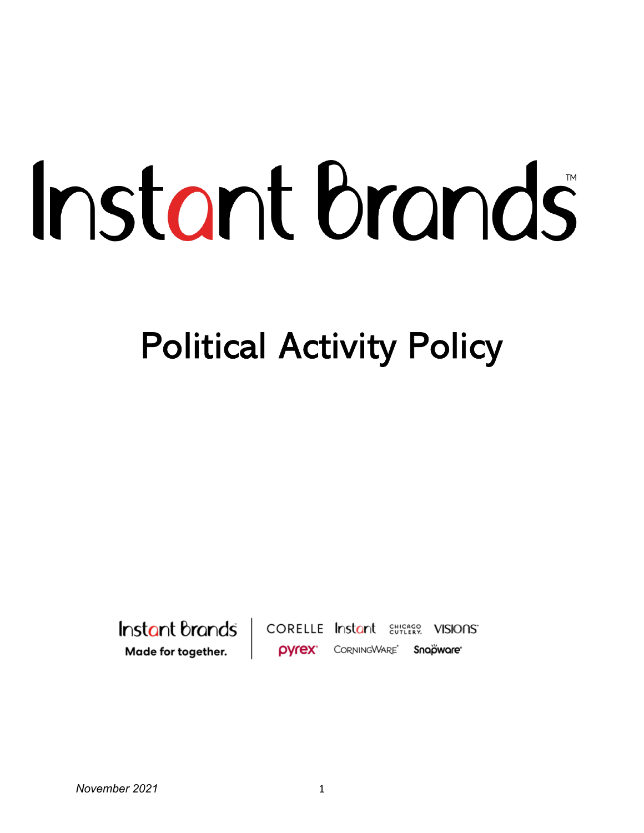# Instant Brands

## Political Activity Policy

Instant Brands CORELLE Instant Europee VISIONS CORNINGWARE<sup>\*</sup> Snapware<sup>®</sup> **pyrex** Made for together.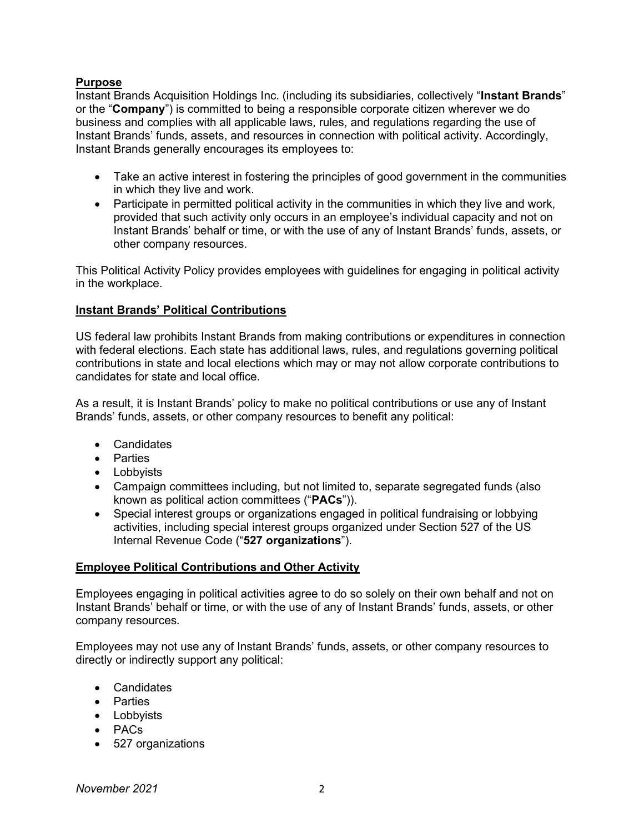#### **Purpose**

Instant Brands Acquisition Holdings Inc. (including its subsidiaries, collectively "Instant Brands" or the "Company") is committed to being a responsible corporate citizen wherever we do business and complies with all applicable laws, rules, and regulations regarding the use of Instant Brands' funds, assets, and resources in connection with political activity. Accordingly, Instant Brands generally encourages its employees to:

- Take an active interest in fostering the principles of good government in the communities in which they live and work.
- Participate in permitted political activity in the communities in which they live and work, provided that such activity only occurs in an employee's individual capacity and not on Instant Brands' behalf or time, or with the use of any of Instant Brands' funds, assets, or other company resources.

This Political Activity Policy provides employees with guidelines for engaging in political activity in the workplace.

#### Instant Brands' Political Contributions

US federal law prohibits Instant Brands from making contributions or expenditures in connection with federal elections. Each state has additional laws, rules, and regulations governing political contributions in state and local elections which may or may not allow corporate contributions to candidates for state and local office.

As a result, it is Instant Brands' policy to make no political contributions or use any of Instant Brands' funds, assets, or other company resources to benefit any political:

- Candidates
- Parties
- Lobbyists
- Campaign committees including, but not limited to, separate segregated funds (also known as political action committees ("PACs")).
- Special interest groups or organizations engaged in political fundraising or lobbying activities, including special interest groups organized under Section 527 of the US Internal Revenue Code ("527 organizations").

#### Employee Political Contributions and Other Activity

Employees engaging in political activities agree to do so solely on their own behalf and not on Instant Brands' behalf or time, or with the use of any of Instant Brands' funds, assets, or other company resources.

Employees may not use any of Instant Brands' funds, assets, or other company resources to directly or indirectly support any political:

- Candidates
- Parties
- Lobbyists
- PACs
- 527 organizations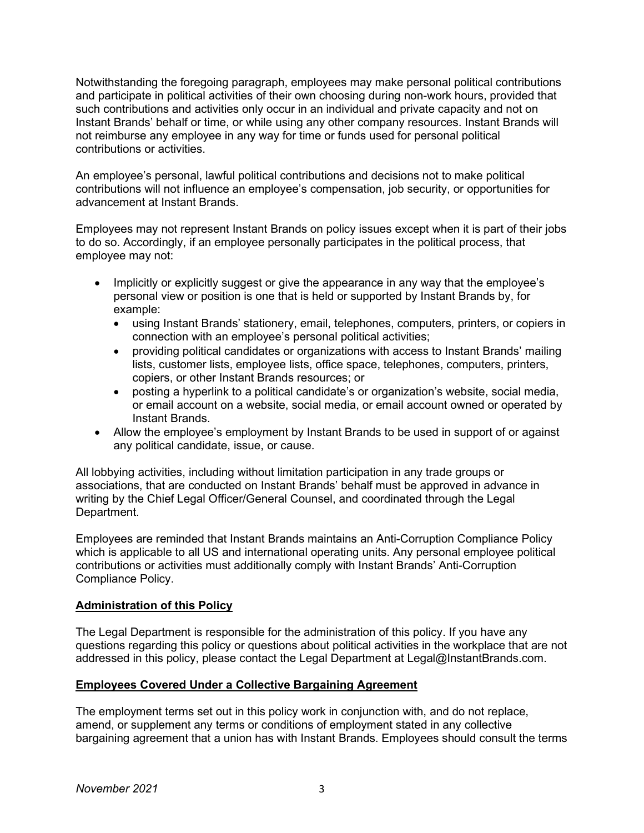Notwithstanding the foregoing paragraph, employees may make personal political contributions and participate in political activities of their own choosing during non-work hours, provided that such contributions and activities only occur in an individual and private capacity and not on Instant Brands' behalf or time, or while using any other company resources. Instant Brands will not reimburse any employee in any way for time or funds used for personal political contributions or activities.

An employee's personal, lawful political contributions and decisions not to make political contributions will not influence an employee's compensation, job security, or opportunities for advancement at Instant Brands.

Employees may not represent Instant Brands on policy issues except when it is part of their jobs to do so. Accordingly, if an employee personally participates in the political process, that employee may not:

- Implicitly or explicitly suggest or give the appearance in any way that the employee's personal view or position is one that is held or supported by Instant Brands by, for example:
	- using Instant Brands' stationery, email, telephones, computers, printers, or copiers in connection with an employee's personal political activities;
	- providing political candidates or organizations with access to Instant Brands' mailing lists, customer lists, employee lists, office space, telephones, computers, printers, copiers, or other Instant Brands resources; or
	- posting a hyperlink to a political candidate's or organization's website, social media, or email account on a website, social media, or email account owned or operated by Instant Brands.
- Allow the employee's employment by Instant Brands to be used in support of or against any political candidate, issue, or cause.

All lobbying activities, including without limitation participation in any trade groups or associations, that are conducted on Instant Brands' behalf must be approved in advance in writing by the Chief Legal Officer/General Counsel, and coordinated through the Legal Department.

Employees are reminded that Instant Brands maintains an Anti-Corruption Compliance Policy which is applicable to all US and international operating units. Any personal employee political contributions or activities must additionally comply with Instant Brands' Anti-Corruption Compliance Policy.

### Administration of this Policy

The Legal Department is responsible for the administration of this policy. If you have any questions regarding this policy or questions about political activities in the workplace that are not addressed in this policy, please contact the Legal Department at Legal@InstantBrands.com.

#### Employees Covered Under a Collective Bargaining Agreement

The employment terms set out in this policy work in conjunction with, and do not replace, amend, or supplement any terms or conditions of employment stated in any collective bargaining agreement that a union has with Instant Brands. Employees should consult the terms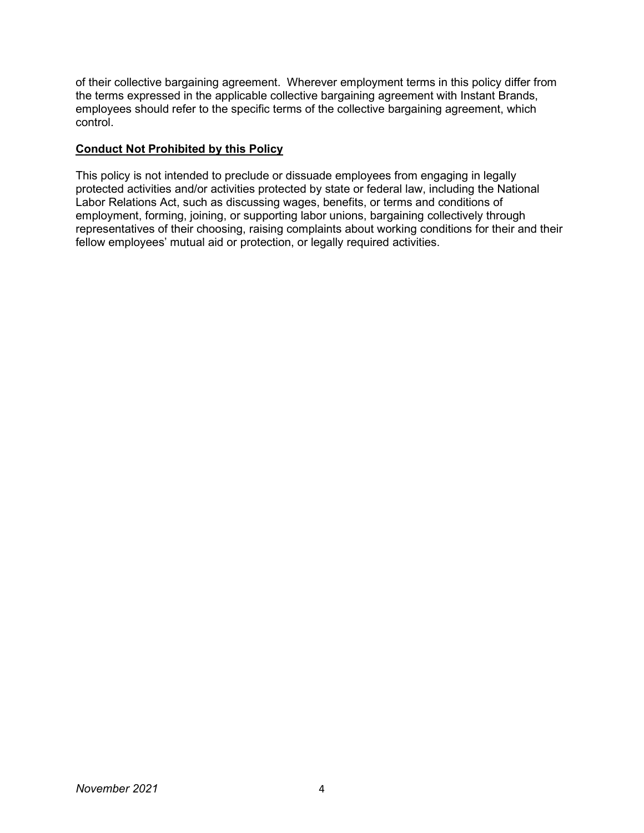of their collective bargaining agreement. Wherever employment terms in this policy differ from the terms expressed in the applicable collective bargaining agreement with Instant Brands, employees should refer to the specific terms of the collective bargaining agreement, which control.

#### Conduct Not Prohibited by this Policy

This policy is not intended to preclude or dissuade employees from engaging in legally protected activities and/or activities protected by state or federal law, including the National Labor Relations Act, such as discussing wages, benefits, or terms and conditions of employment, forming, joining, or supporting labor unions, bargaining collectively through representatives of their choosing, raising complaints about working conditions for their and their fellow employees' mutual aid or protection, or legally required activities.